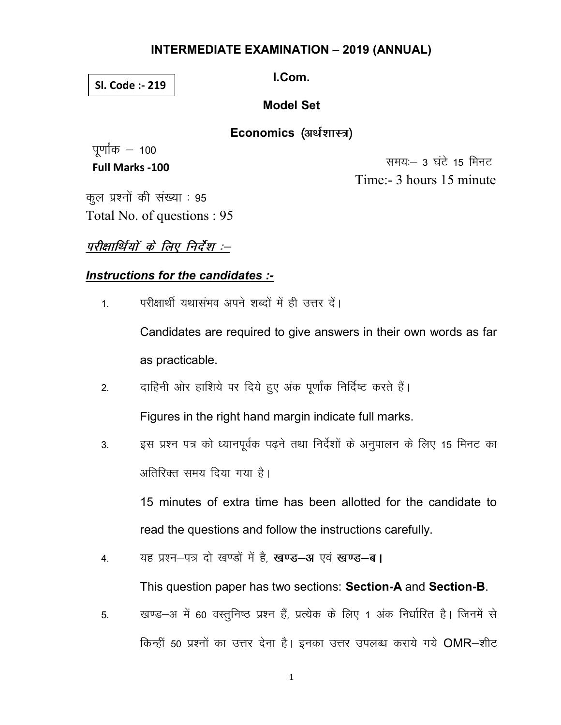#### **INTERMEDIATE EXAMINATION - 2019 (ANNUAL)**

#### Sl. Code :- 219

LCom.

#### **Model Set**

Economics (अर्थशास्त्र)

पूर्णांक  $-$  100 **Full Marks -100** 

समय:- 3 घंटे 15 मिनट Time:- 3 hours 15 minute

कूल प्रश्नों की संख्या : 95 Total No. of questions: 95

## परीक्षार्थियों के लिए निर्देश :--

## Instructions for the candidates :-

परीक्षार्थी यथासंभव अपने शब्दों में ही उत्तर दें।  $\overline{1}$ 

> Candidates are required to give answers in their own words as far as practicable.

दाहिनी ओर हाशिये पर दिये हुए अंक पूर्णांक निर्दिष्ट करते हैं।  $2.$ 

Figures in the right hand margin indicate full marks.

इस प्रश्न पत्र को ध्यानपूर्वक पढ़ने तथा निर्देशों के अनुपालन के लिए 15 मिनट का  $3<sup>1</sup>$ अतिरिक्त समय दिया गया है।

15 minutes of extra time has been allotted for the candidate to read the questions and follow the instructions carefully.

यह प्रश्न-पत्र दो खण्डों में है, खण्ड-अ एवं खण्ड-ब। 4.

This question paper has two sections: Section-A and Section-B.

खण्ड-अ में 60 वस्तुनिष्ठ प्रश्न हैं, प्रत्येक के लिए 1 अंक निर्धारित है। जिनमें से 5. किन्हीं 50 प्रश्नों का उत्तर देना है। इनका उत्तर उपलब्ध कराये गये OMR-शीट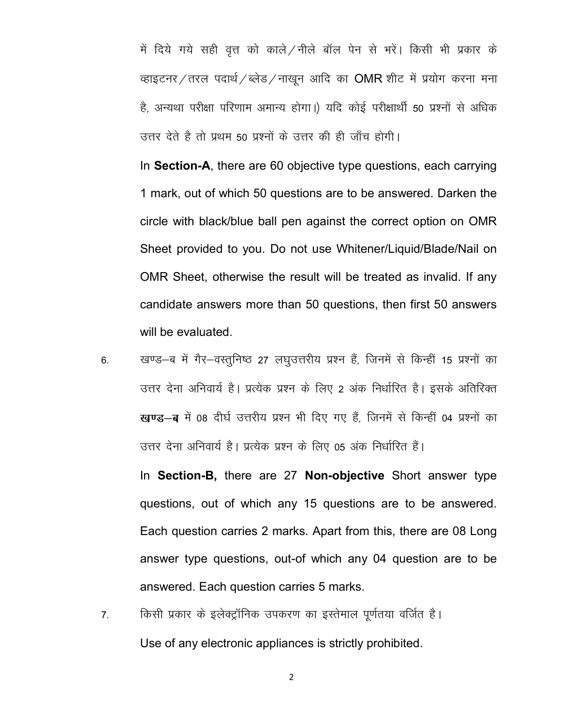में दिये गये सही वृत्त को काले / नीले बॉल पेन से भरें। किसी भी प्रकार के व्हाइटनर/तरल पदार्थ/ब्लेड/नाखून आदि का OMR शीट में प्रयोग करना मना है, अन्यथा परीक्षा परिणाम अमान्य होगा।) यदि कोई परीक्षार्थी 50 प्रश्नों से अधिक उत्तर देते है तो प्रथम 50 प्रश्नों के उत्तर की ही जाँच होगी।

In Section-A, there are 60 objective type questions, each carrying 1 mark, out of which 50 questions are to be answered. Darken the circle with black/blue ball pen against the correct option on OMR Sheet provided to you. Do not use Whitener/Liquid/Blade/Nail on OMR Sheet, otherwise the result will be treated as invalid. If any candidate answers more than 50 questions, then first 50 answers will be evaluated.

6. खण्ड-ब में गैर-वस्तुनिष्ठ 27 लघुउत्तरीय प्रश्न हैं, जिनमें से किन्हीं 15 प्रश्नों का उत्तर देना अनिवार्य है। प्रत्येक प्रश्न के लिए 2 अंक निर्धारित है। इसके अतिरिक्त खण्ड-ब में 08 दीर्घ उत्तरीय प्रश्न भी दिए गए हैं, जिनमें से किन्हीं 04 प्रश्नों का उत्तर देना अनिवार्य है। प्रत्येक प्रश्न के लिए 05 अंक निर्धारित हैं।

In Section-B, there are 27 Non-objective Short answer type questions, out of which any 15 questions are to be answered. Each question carries 2 marks. Apart from this, there are 08 Long answer type questions, out-of which any 04 question are to be answered. Each question carries 5 marks.

7. किसी प्रकार के इलेक्ट्रॉनिक उपकरण का इस्तेमाल पूर्णतया वर्जित है। Use of any electronic appliances is strictly prohibited.

2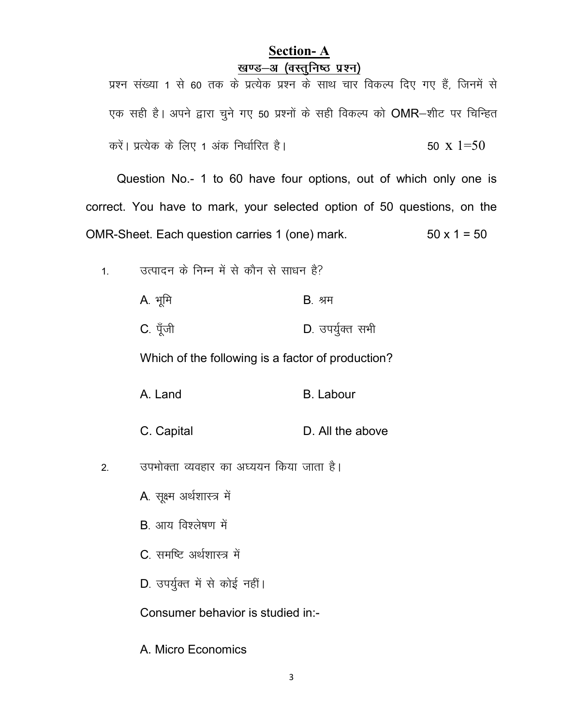## Section- A खण्ड-अ (वस्तनिष्ठ प्रश्न)

प्रश्न संख्या 1 से 60 तक के प्रत्येक प्रश्न के साथ चार विकल्प दिए गए हैं, जिनमें से एक सही है। अपने द्वारा चुने गए 50 प्रश्नों के सही विकल्प को OMR-शीट पर चिन्हित करें। प्रत्येक के लिए 1 अंक निर्धारित है।  $\sim$  50 x 1=50

Question No.- 1 to 60 have four options, out of which only one is correct. You have to mark, your selected option of 50 questions, on the OMR-Sheet. Each question carries 1 (one) mark.  $50 \times 1 = 50$ 

1. व्यादन के निम्न में से कौन से साधन है?

| A. भूमि  | <b>B</b> . श्रम  |
|----------|------------------|
| C. पूँजी | D. उपर्युक्त सभी |

Which of the following is a factor of production?

| B. Labour |
|-----------|
|           |

- C. Capital D. All the above
- 2. व्यभोक्ता व्यवहार का अध्ययन किया जाता है।

A. सूक्ष्म अर्थशास्त्र में

 $B$  आय विश्लेषण में

C. समष्टि अर्थशास्त्र में

D. उपर्युक्त में से कोई नहीं।

Consumer behavior is studied in:-

A. Micro Economics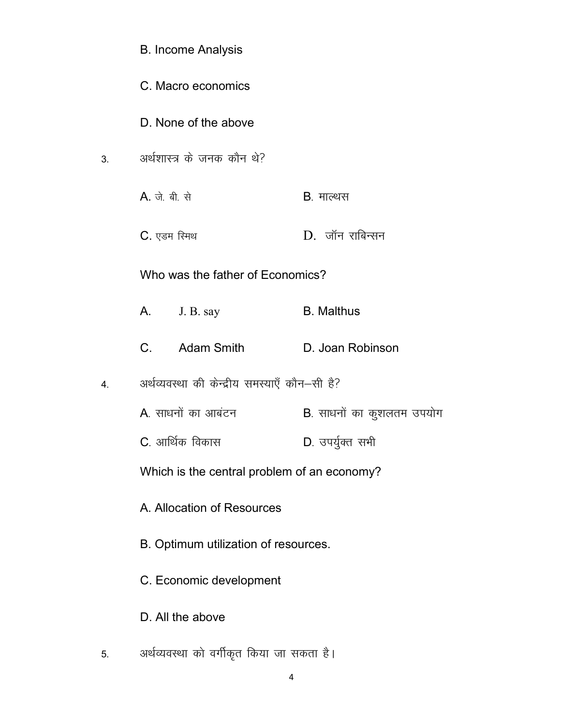|                  | <b>B. Income Analysis</b>                     |                           |
|------------------|-----------------------------------------------|---------------------------|
|                  | C. Macro economics                            |                           |
|                  | D. None of the above                          |                           |
| 3.               | अर्थशास्त्र के जनक कौन थे?                    |                           |
|                  | A. जे. बी. से                                 | <b>B</b> . माल्थस         |
|                  | C. एडम रिमथ                                   | $D.$ जॉन राबिन्सन         |
|                  | Who was the father of Economics?              |                           |
|                  | A. J. B. say                                  | <b>B.</b> Malthus         |
|                  | C. Adam Smith                                 | D. Joan Robinson          |
| $\overline{4}$ . | अर्थव्यवस्था की केन्द्रीय समस्याएँ कौन-सी है? |                           |
|                  | A. साधनों का आबंटन                            | B. साधनों का कुशलतम उपयोग |
|                  | C. आर्थिक विकास                               | D. उपर्युक्त सभी          |
|                  | Which is the central problem of an economy?   |                           |
|                  | A. Allocation of Resources                    |                           |
|                  | B. Optimum utilization of resources.          |                           |
|                  | C. Economic development                       |                           |
|                  | D. All the above                              |                           |
| 5.               | अर्थव्यवस्था को वर्गीकृत किया जा सकता है।     |                           |

4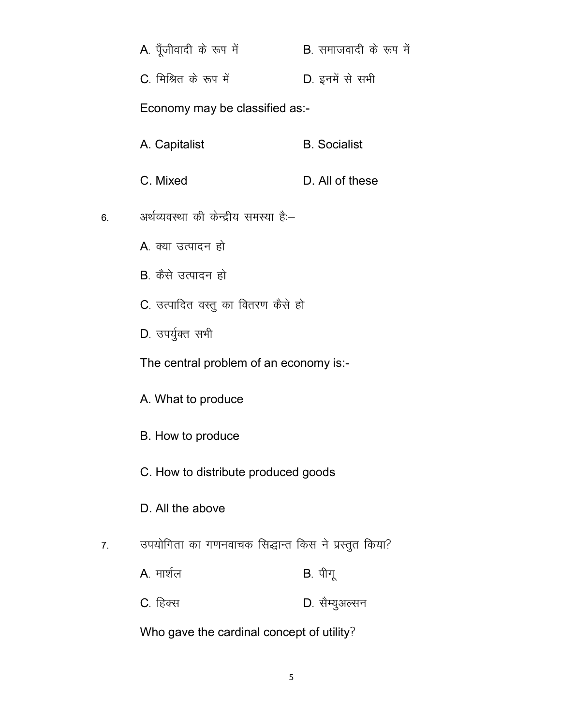| <b>A</b> . पूँजीवादी के रूप में<br>B. समाजवादी के रूप में |  |
|-----------------------------------------------------------|--|
|-----------------------------------------------------------|--|

C. मिश्रित के रूप में **Example 2014** D. इनमें से सभी

Economy may be classified as:-

- A. Capitalist **B. Socialist**
- C. Mixed D. All of these
- 6. अर्थव्यवस्था की केन्द्रीय समस्या है:-
	- A. क्या उत्पादन हो
	- B. कैसे उत्पादन हो
	- C. उत्पादित वस्तु का वितरण कैसे हो
	- D. उपर्युक्त सभी

The central problem of an economy is:-

- A. What to produce
- B. How to produce
- C. How to distribute produced goods
- D. All the above
- 7. उपयोगिता का गणनवाचक सिद्धान्त किस ने प्रस्तुत किया?
	- $A$ <sub>-</sub> मार्शल  $B$  पीगू
	- C. हिक्स बाद कर कर के D. सैम्युअल्सन

Who gave the cardinal concept of utility?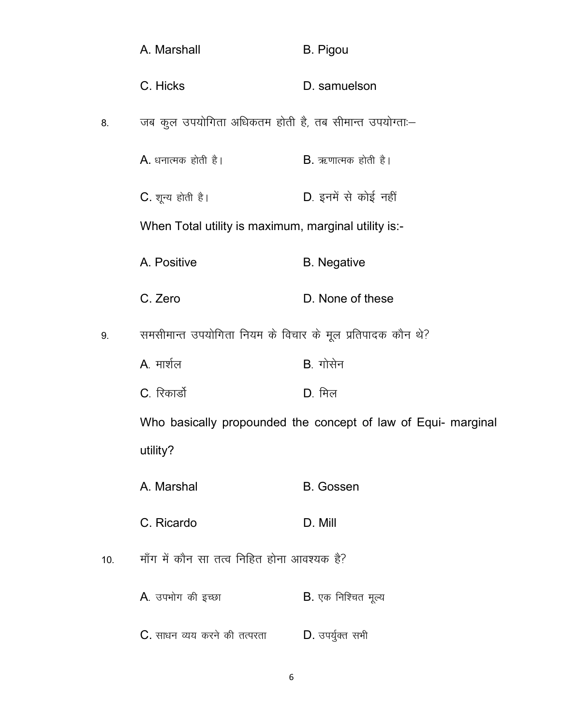|     |                                                                 | A. Marshall                                           | <b>B.</b> Pigou                                               |
|-----|-----------------------------------------------------------------|-------------------------------------------------------|---------------------------------------------------------------|
|     |                                                                 | C. Hicks                                              | D. samuelson                                                  |
|     | 8.                                                              | जब कुल उपयोगिता अधिकतम होती है, तब सीमान्त उपयोग्ता:- |                                                               |
|     |                                                                 | $A.$ धनात्मक होती है।                                 | $B.$ ऋणात्मक होती है।                                         |
|     |                                                                 | C. शून्य होती है।                                     | D. इनमें से कोई नहीं                                          |
|     |                                                                 | When Total utility is maximum, marginal utility is:-  |                                                               |
|     |                                                                 | A. Positive                                           | <b>B.</b> Negative                                            |
|     |                                                                 | C. Zero                                               | D. None of these                                              |
|     | समसीमान्त उपयोगिता नियम के विचार के मूल प्रतिपादक कौन थे?<br>9. |                                                       |                                                               |
|     |                                                                 | A. मार्शल                                             | B. गोसेन                                                      |
|     |                                                                 | C. रिकार्डो                                           | $D.$ मिल                                                      |
|     |                                                                 |                                                       | Who basically propounded the concept of law of Equi- marginal |
|     |                                                                 | utility?                                              |                                                               |
|     |                                                                 | A. Marshal                                            | <b>B.</b> Gossen                                              |
|     |                                                                 | C. Ricardo                                            | D. Mill                                                       |
| 10. |                                                                 | माँग में कौन सा तत्व निहित होना आवश्यक है?            |                                                               |
|     |                                                                 | A. उपभोग की इच्छा                                     | $B.$ एक निश्चित मूल्य                                         |
|     |                                                                 | $C$ . साधन व्यय करने की तत्परता                       | $D.$ उपर्युक्त सभी                                            |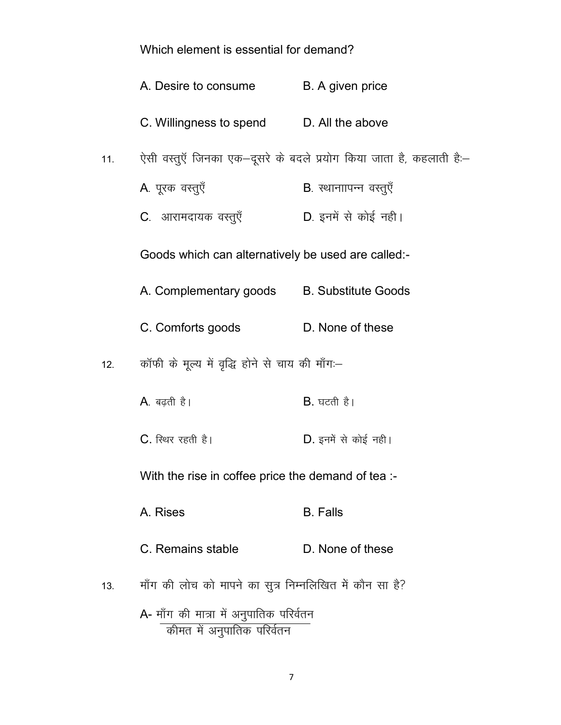| Which element is essential for demand? |  |  |
|----------------------------------------|--|--|
|                                        |  |  |

|                                                                       | A. Desire to consume                                    | B. A given price                                                     |  |  |
|-----------------------------------------------------------------------|---------------------------------------------------------|----------------------------------------------------------------------|--|--|
|                                                                       | C. Willingness to spend D. All the above                |                                                                      |  |  |
| 11.                                                                   |                                                         | ऐसी वस्तुएँ जिनका एक-दूसरे के बदले प्रयोग किया जाता है, कहलाती हैं:- |  |  |
|                                                                       | A. पूरक वस्तुएँ                                         | B. स्थानाापन्न वस्तुएँ                                               |  |  |
|                                                                       | C. आरामदायक वस्तुएँ                                     | D. इनमें से कोई नही।                                                 |  |  |
|                                                                       | Goods which can alternatively be used are called:-      |                                                                      |  |  |
|                                                                       | A. Complementary goods B. Substitute Goods              |                                                                      |  |  |
|                                                                       | C. Comforts goods                                       | D. None of these                                                     |  |  |
| कॉफी के मूल्य में वृद्धि होने से चाय की माँग:–<br>12.                 |                                                         |                                                                      |  |  |
|                                                                       | A. बढ़ती है।                                            | $B.$ घटती है।                                                        |  |  |
|                                                                       | C. स्थिर रहती है।                                       | <b>D</b> . इनमें से कोई नही।                                         |  |  |
|                                                                       | With the rise in coffee price the demand of tea :-      |                                                                      |  |  |
|                                                                       | A. Rises                                                | <b>B.</b> Falls                                                      |  |  |
|                                                                       | C. Remains stable                                       | D. None of these                                                     |  |  |
| 13.                                                                   | माँग की लोच को मापने का सुत्र निम्नलिखित में कौन सा है? |                                                                      |  |  |
| A- माँग की मात्रा में अनुपातिक परिर्वतन<br>कीमत में अनुपातिक परिर्वतन |                                                         |                                                                      |  |  |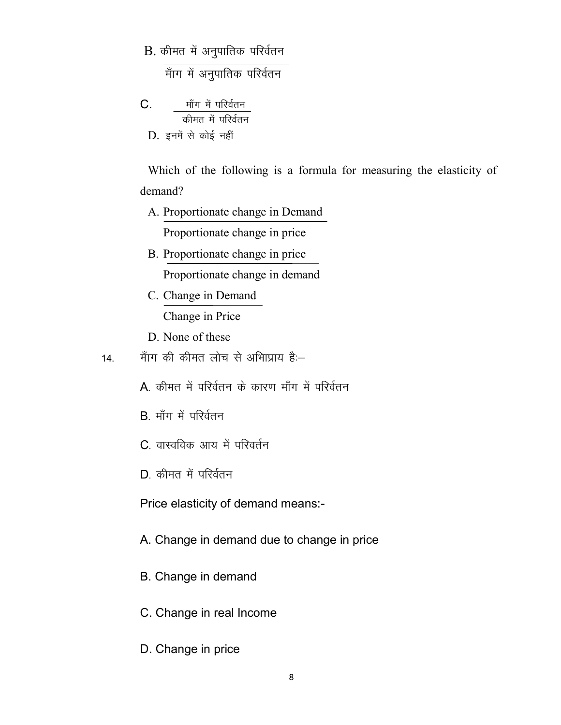$B.$  कीमत में अनुपातिक परिर्वतन

Ek ¡kx esa vu qikfrd ifjoZru

 $C.$  माँग में परिर्वतन कीमत में परिर्वतन D. इनमें से कोई नहीं

Which of the following is a formula for measuring the elasticity of demand?

- A. Proportionate change in Demand Proportionate change in price
- B. Proportionate change in price Proportionate change in demand
- C. Change in Demand Change in Price
- D. None of these
- 14. माँग की कीमत लोच से अभिाप्राय है:-
	- $A$ , कीमत में परिर्वतन के कारण माँग में परिर्वतन
	- $B$  माँग में परिर्वतन
	- C. वास्वविक आय में परिवर्तन
	- $D$  कीमत में परिर्वतन

Price elasticity of demand means:-

- A. Change in demand due to change in price
- B. Change in demand
- C. Change in real Income
- D. Change in price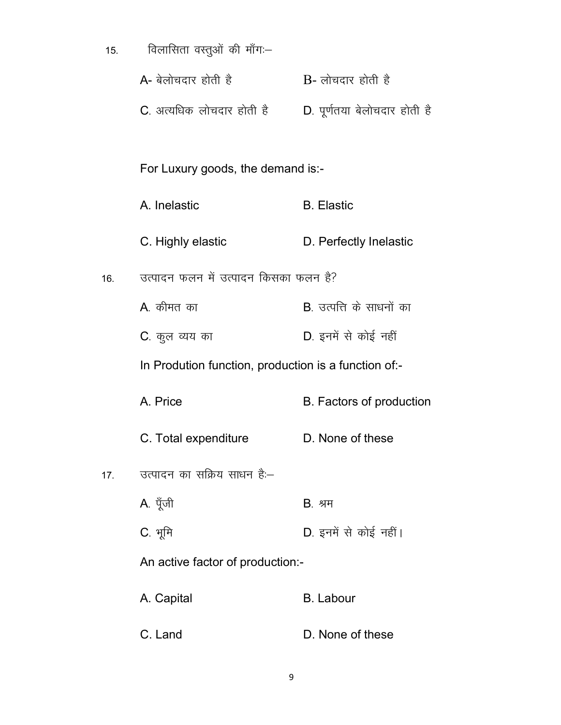| 15. | विलासिता वस्तुओं की माँग:-                           |                                  |
|-----|------------------------------------------------------|----------------------------------|
|     | A- बेलोचदार होती है                                  | B- लोचदार होती है                |
|     | C. अत्यधिक लोचदार होती है                            | D. पूर्णतया बेलोचदार होती है     |
|     |                                                      |                                  |
|     | For Luxury goods, the demand is:-                    |                                  |
|     | A. Inelastic                                         | <b>B.</b> Elastic                |
|     | C. Highly elastic                                    | D. Perfectly Inelastic           |
| 16. | उत्पादन फलन में उत्पादन किसका फलन है?                |                                  |
|     | <b>A</b> . कीमत का                                   | <b>B</b> . उत्पत्ति के साधनों का |
|     | C. कुल व्यय का                                       | D. इनमें से कोई नहीं             |
|     | In Prodution function, production is a function of:- |                                  |
|     | A. Price                                             | B. Factors of production         |
|     | C. Total expenditure                                 | D. None of these                 |
| 17. | उत्पादन का सक्रिय साधन है:–                          |                                  |
|     | A. पूँजी                                             | <b>B</b> . श्रम                  |
|     | C. भूमि                                              | D. इनमें से कोई नहीं।            |
|     | An active factor of production:-                     |                                  |
|     | A. Capital                                           | <b>B.</b> Labour                 |
|     | C. Land                                              | D. None of these                 |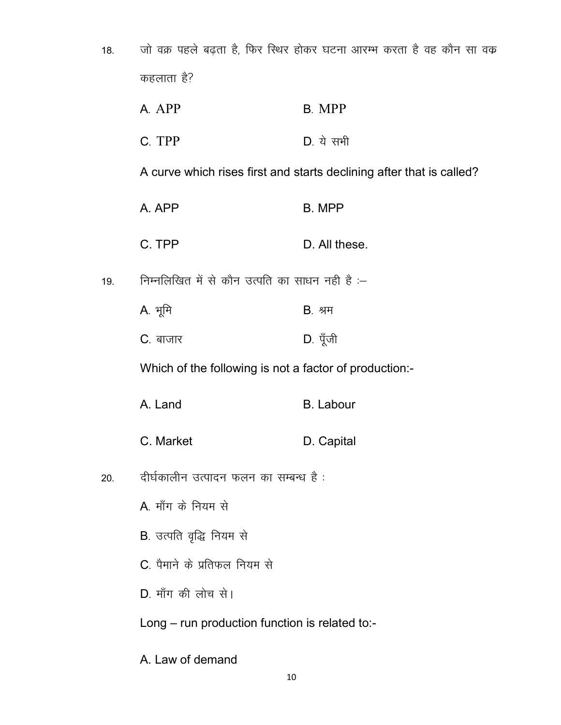| 18. | जो वक्र पहले बढ़ता है, फिर स्थिर होकर घटना आरम्भ करता है वह कौन सा वक्र |                                                                      |
|-----|-------------------------------------------------------------------------|----------------------------------------------------------------------|
|     | कहलाता है?                                                              |                                                                      |
|     | A. APP                                                                  | B. MPP                                                               |
|     | C. TPP                                                                  | $D.$ ये सभी                                                          |
|     |                                                                         | A curve which rises first and starts declining after that is called? |
|     | A. APP                                                                  | <b>B. MPP</b>                                                        |
|     | C. TPP                                                                  | D. All these.                                                        |
| 19. | निम्नलिखित में से कौन उत्पति का साधन नही है :–                          |                                                                      |
|     | A. भूमि                                                                 | <b>B</b> . श्रम                                                      |
|     | C. बाजार                                                                | D. पूँजी                                                             |
|     | Which of the following is not a factor of production:-                  |                                                                      |
|     | A. Land                                                                 | <b>B.</b> Labour                                                     |
|     | C. Market                                                               | D. Capital                                                           |
| 20. | दीर्घकालीन उत्पादन फलन का सम्बन्ध है :                                  |                                                                      |
|     | A. माँग के नियम से                                                      |                                                                      |
|     | <b>B</b> . उत्पति वृद्धि नियम से                                        |                                                                      |
|     | C. पैमाने के प्रतिफल नियम से                                            |                                                                      |
|     | D. माँग की लोच से।                                                      |                                                                      |
|     | Long – run production function is related to:-                          |                                                                      |
|     | A. Law of demand                                                        |                                                                      |

 $10\,$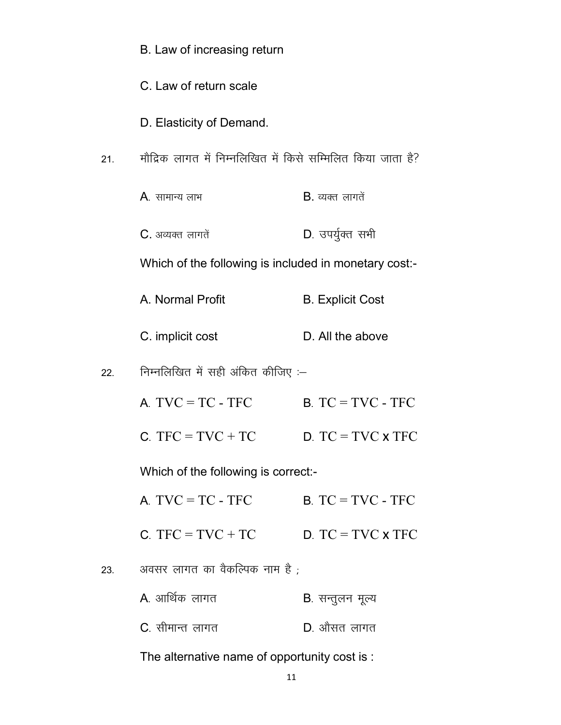|     | B. Law of increasing return                                 |                          |
|-----|-------------------------------------------------------------|--------------------------|
|     | C. Law of return scale                                      |                          |
|     | D. Elasticity of Demand.                                    |                          |
| 21. | मौद्रिक लागत में निम्नलिखित में किसे सम्मिलित किया जाता है? |                          |
|     | $A$ . सामान्य लाभ                                           | $B.$ व्यक्त लागते        |
|     | $C.$ अव्यक्त लागतें                                         | D. उपर्युक्त सभी         |
|     | Which of the following is included in monetary cost:-       |                          |
|     | A. Normal Profit                                            | <b>B.</b> Explicit Cost  |
|     | C. implicit cost                                            | D. All the above         |
| 22. | निम्नलिखित में सही अंकित कीजिए :–                           |                          |
|     | $A. TVC = TC - TFC$                                         | $B. TC = TVC - TFC$      |
|     | $C = TVC + TC$                                              | $D. TC = TVC \times TFC$ |
|     | Which of the following is correct:-                         |                          |
|     | $A. TVC = TC - TFC$                                         | $B. TC = TVC - TFC$      |
|     | C. TFC = $TVC + TC$                                         | $D. TC = TVC \times TFC$ |
| 23. | अवसर लागत का वैकल्पिक नाम है ;                              |                          |
|     | A. आर्थिक लागत                                              | <b>B</b> . सन्तुलन मूल्य |
|     | C. सीमान्त लागत                                             | D. औसत लागत              |
|     |                                                             |                          |

The alternative name of opportunity cost is :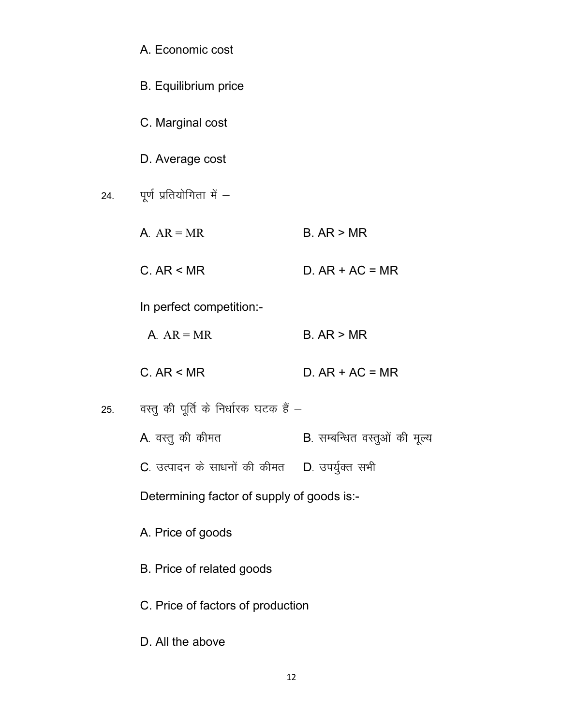|     | A. Economic cost                              |                                       |
|-----|-----------------------------------------------|---------------------------------------|
|     | <b>B.</b> Equilibrium price                   |                                       |
|     | C. Marginal cost                              |                                       |
|     | D. Average cost                               |                                       |
| 24. | पूर्ण प्रतियोगिता में -                       |                                       |
|     | $A. AR = MR$                                  | B. AR > MR                            |
|     | C. AR < MR                                    | $D. AR + AC = MR$                     |
|     | In perfect competition:-                      |                                       |
|     | A. $AR = MR$                                  | B. AR > MR                            |
|     | C. AR < MR                                    | $D. AR + AC = MR$                     |
| 25. | वस्तु की पूर्ति के निर्धारक घटक हैं –         |                                       |
|     | A. वस्तु की कीमत                              | <b>B</b> . सम्बन्धित वस्तुओं की मूल्य |
|     | C. उत्पादन के साधनों की कीमत D. उपर्युक्त सभी |                                       |
|     | Determining factor of supply of goods is:-    |                                       |
|     | A. Price of goods                             |                                       |
|     | B. Price of related goods                     |                                       |
|     | C. Price of factors of production             |                                       |
|     | D. All the above                              |                                       |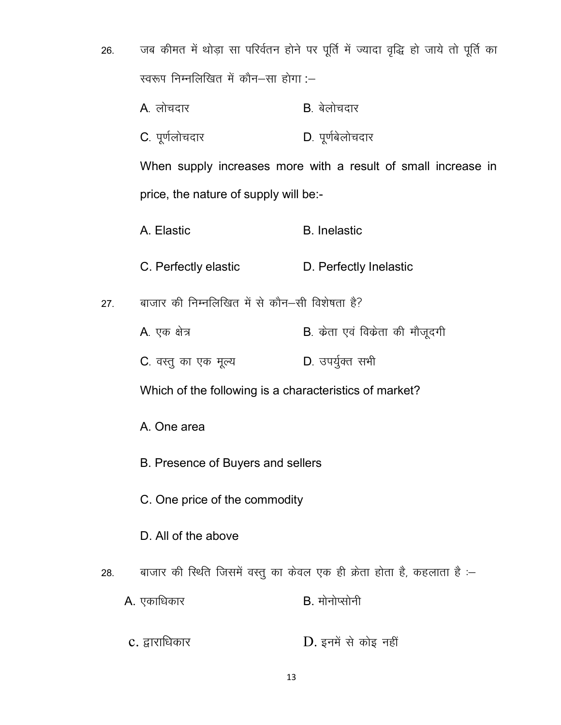- जब कीमत में थोड़ा सा परिर्वतन होने पर पूर्ति में ज्यादा वृद्धि हो जाये तो पूर्ति का 26. स्वरूप निम्नलिखित में कौन-सा होगा :-
	- A. लोचदार  $B$  बेलोचदार

 $27.$ 

28.

C. पूर्णलोचदार D. पूर्णबेलोचदार

When supply increases more with a result of small increase in price, the nature of supply will be:-

- A. Elastic **B.** Inelastic C. Perfectly elastic D. Perfectly Inelastic बाजार की निम्नलिखित में से कौन-सी विशेषता है? B. केता एवं विकेता की मौजूदगी A. एक क्षेत्र D. उपर्युक्त सभी C. वस्तु का एक मूल्य Which of the following is a characteristics of market? A. One area B. Presence of Buyers and sellers C. One price of the commodity D. All of the above बाजार की स्थिति जिसमें वस्तु का केवल एक ही क्रेता होता है, कहलाता है :-A. एकाधिकार B. मोनोप्सोनी
- D. इनमें से कोइ नहीं c. द्वाराधिकार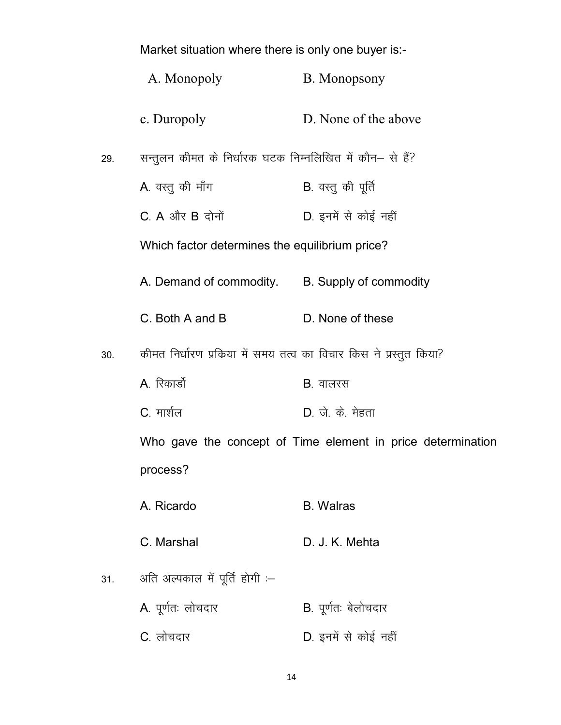|     | Market situation where there is only one buyer is:-                 |                                                             |
|-----|---------------------------------------------------------------------|-------------------------------------------------------------|
|     | A. Monopoly                                                         | B. Monopsony                                                |
|     | c. Duropoly                                                         | D. None of the above                                        |
| 29. | सन्तुलन कीमत के निर्धारक घटक निम्नलिखित में कौन– से हैं?            |                                                             |
|     | A. वस्तु की माँग                                                    | <b>B</b> . वस्तु की पूर्ति                                  |
|     | $C. A$ और $B$ दोनों                                                 | D. इनमें से कोई नहीं                                        |
|     | Which factor determines the equilibrium price?                      |                                                             |
|     | A. Demand of commodity. B. Supply of commodity                      |                                                             |
|     | C. Both A and B                                                     | D. None of these                                            |
| 30. | कीमत निर्धारण प्रक्रिया में समय तत्व का विचार किस ने प्रस्तुत किया? |                                                             |
|     | A. रिकार्डो                                                         | <b>B</b> . वालरस                                            |
|     | C. मार्शल                                                           | D. जे. के. मेहता                                            |
|     |                                                                     | Who gave the concept of Time element in price determination |
|     | process?                                                            |                                                             |
|     | A. Ricardo                                                          | <b>B.</b> Walras                                            |
|     | C. Marshal                                                          | D. J. K. Mehta                                              |
| 31. | अति अल्पकाल में पूर्ति होगी :-                                      |                                                             |
|     | A. पूर्णतः लोचदार                                                   | <b>B</b> . पूर्णतः बेलोचदार                                 |
|     | C. लोचदार                                                           | D. इनमें से कोई नहीं                                        |

14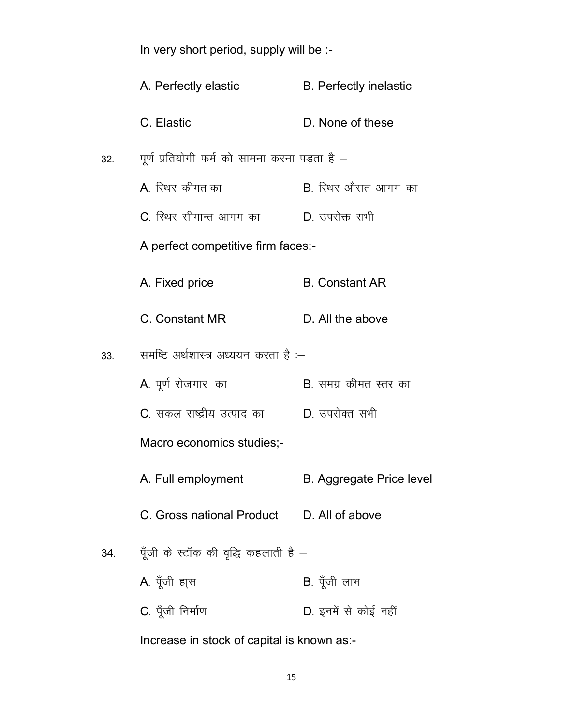|                                            | In very short period, supply will be :-          |                                 |  |  |  |  |
|--------------------------------------------|--------------------------------------------------|---------------------------------|--|--|--|--|
|                                            | A. Perfectly elastic                             | <b>B.</b> Perfectly inelastic   |  |  |  |  |
|                                            | C. Elastic                                       | D. None of these                |  |  |  |  |
| 32.                                        | पूर्ण प्रतियोगी फर्म को सामना करना पड़ता है —    |                                 |  |  |  |  |
|                                            | A. स्थिर कीमत का                                 | B. स्थिर औसत आगम का             |  |  |  |  |
|                                            | C. स्थिर सीमान्त आगम का           D. उपरोक्त सभी |                                 |  |  |  |  |
|                                            | A perfect competitive firm faces:-               |                                 |  |  |  |  |
|                                            | A. Fixed price                                   | <b>B.</b> Constant AR           |  |  |  |  |
|                                            | C. Constant MR                                   | D. All the above                |  |  |  |  |
| 33.                                        | समष्टि अर्थशास्त्र अध्ययन करता है :-             |                                 |  |  |  |  |
|                                            | A. पूर्ण रोजगार का                               | <b>B</b> . समग्र कीमत स्तर का   |  |  |  |  |
|                                            | C. सकल राष्ट्रीय उत्पाद का D. उपरोक्त सभी        |                                 |  |  |  |  |
|                                            | Macro economics studies;-                        |                                 |  |  |  |  |
|                                            | A. Full employment                               | <b>B. Aggregate Price level</b> |  |  |  |  |
|                                            | C. Gross national Product D. All of above        |                                 |  |  |  |  |
| 34.                                        | पूँजी के स्टॉक की वृद्धि कहलाती है $-$           |                                 |  |  |  |  |
|                                            | A. पूँजी हास                                     | B. पूँजी लाभ                    |  |  |  |  |
|                                            | C. पूँजी निर्माण                                 | D. इनमें से कोई नहीं            |  |  |  |  |
| Increase in stock of capital is known as:- |                                                  |                                 |  |  |  |  |

15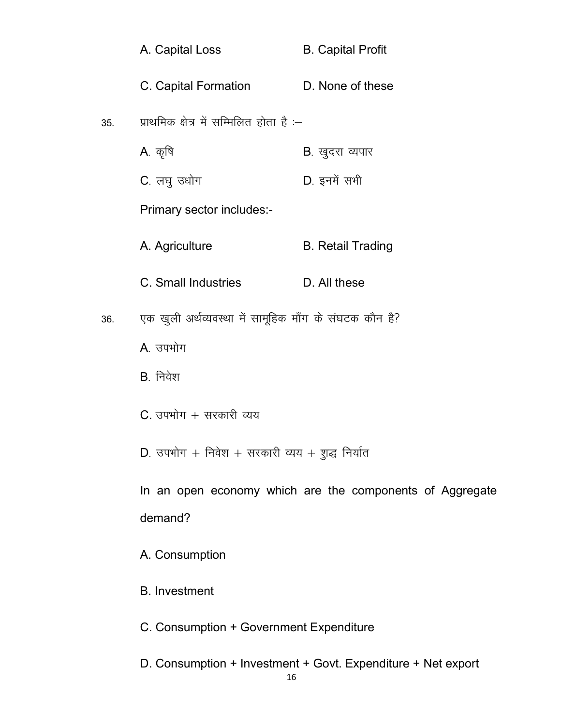|     | A. Capital Loss                                        | <b>B. Capital Profit</b>                                 |
|-----|--------------------------------------------------------|----------------------------------------------------------|
|     | C. Capital Formation                                   | D. None of these                                         |
| 35. | प्राथमिक क्षेत्र में सम्मिलित होता है :-               |                                                          |
|     | A. कृषि                                                | <b>B</b> . खुदरा व्यपार                                  |
|     | C. लघु उधोग                                            | D. इनमें सभी                                             |
|     | Primary sector includes:-                              |                                                          |
|     | A. Agriculture                                         | <b>B. Retail Trading</b>                                 |
|     | C. Small Industries                                    | D. All these                                             |
| 36. | एक खुली अर्थव्यवस्था में सामूहिक माँग के संघटक कौन है? |                                                          |
|     | A. उपभोग                                               |                                                          |
|     | $B.$ निवेश                                             |                                                          |
|     | C. उपभोग + सरकारी व्यय                                 |                                                          |
|     | D. उपभोग + निवेश + सरकारी व्यय + शुद्ध निर्यात         |                                                          |
|     |                                                        | In an open economy which are the components of Aggregate |
|     | demand?                                                |                                                          |
|     | A. Consumption                                         |                                                          |
|     | <b>B.</b> Investment                                   |                                                          |
|     | C. Consumption + Government Expenditure                |                                                          |

D. Consumption + Investment + Govt. Expenditure + Net export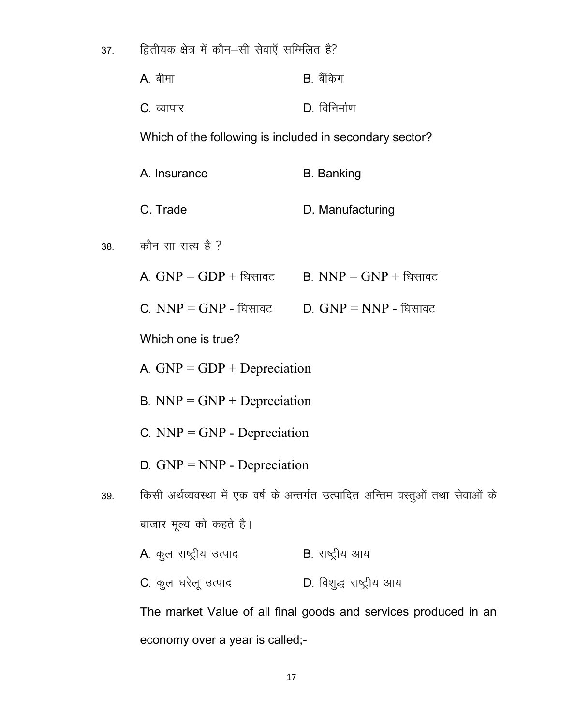द्वितीयक क्षेत्र में कौन–सी सेवाएँ सम्मिलित है? 37.

| A. बीमा            | B. बैंकिग    |
|--------------------|--------------|
| <b>C</b> . व्यापार | D. विनिर्माण |

Which of the following is included in secondary sector?

|     | A. Insurance                                                                    | <b>B.</b> Banking                                               |  |  |  |
|-----|---------------------------------------------------------------------------------|-----------------------------------------------------------------|--|--|--|
|     | C. Trade                                                                        | D. Manufacturing                                                |  |  |  |
| 38. | कौन सा सत्य है ?                                                                |                                                                 |  |  |  |
|     | A. $GNP = GDP + \hat{E}$ सावट                                                   | <b>B.</b> NNP = GNP + धिसावट                                    |  |  |  |
|     | <b>C</b> . $NNP = GNP$ - घिसावट                                                 | $D. GNP = NNP -$ धिसावट                                         |  |  |  |
|     | Which one is true?                                                              |                                                                 |  |  |  |
|     | A. $GNP = GDP + Depreciation$                                                   |                                                                 |  |  |  |
|     | $B. NNP = GNP + Depreciation$                                                   |                                                                 |  |  |  |
|     | C. $NNP = GNP$ - Depreciation                                                   |                                                                 |  |  |  |
|     | $D.$ GNP = NNP - Depreciation                                                   |                                                                 |  |  |  |
| 39. | किसी अर्थव्यवस्था में एक वर्ष के अन्तर्गत उत्पादित अन्तिम वस्तुओं तथा सेवाओं के |                                                                 |  |  |  |
|     | बाजार मूल्य को कहते है।                                                         |                                                                 |  |  |  |
|     | A. कुल राष्ट्रीय उत्पाद                                                         | <b>B</b> . राष्ट्रीय आय                                         |  |  |  |
|     | C. कुल घरेलू उत्पाद                                                             | D. विशुद्ध राष्ट्रीय आय                                         |  |  |  |
|     |                                                                                 | The market Value of all final goods and services produced in an |  |  |  |

economy over a year is called;-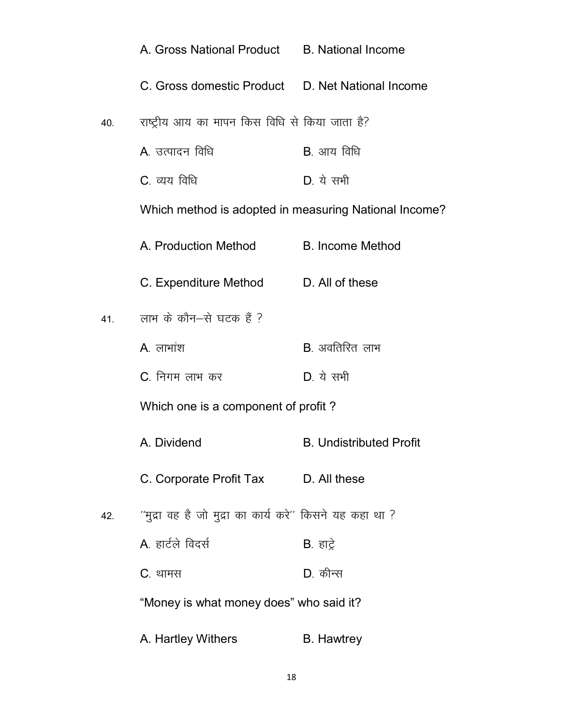|     | A. Gross National Product B. National Income              |                                |
|-----|-----------------------------------------------------------|--------------------------------|
|     | C. Gross domestic Product D. Net National Income          |                                |
| 40. | राष्ट्रीय आय का मापन किस विधि से किया जाता है?            |                                |
|     | A. उत्पादन विधि                                           | <b>B</b> . आय विधि             |
|     | C. व्यय विधि                                              | $D_{\cdot}$ ये सभी             |
|     | Which method is adopted in measuring National Income?     |                                |
|     | A. Production Method                                      | <b>B. Income Method</b>        |
|     | C. Expenditure Method D. All of these                     |                                |
| 41. | लाभ के कौन–से घटक हैं ?                                   |                                |
|     | $A.$ लाभांश                                               | <b>B</b> . अवतिरित लाभ         |
|     | C. निगम लाभ कर                                            | $D_{\cdot}$ ये सभी             |
|     | Which one is a component of profit?                       |                                |
|     | A. Dividend                                               | <b>B. Undistributed Profit</b> |
|     | C. Corporate Profit Tax D. All these                      |                                |
| 42. | ''मुद्रा वह है जो मुद्रा का कार्य करे'' किसने यह कहा था ? |                                |
|     | A. हार्टले विदर्स                                         | <b>B</b> . हाट्रे              |
|     | C. थामस                                                   | D. कीन्स                       |
|     | "Money is what money does" who said it?                   |                                |
|     | A. Hartley Withers                                        | <b>B.</b> Hawtrey              |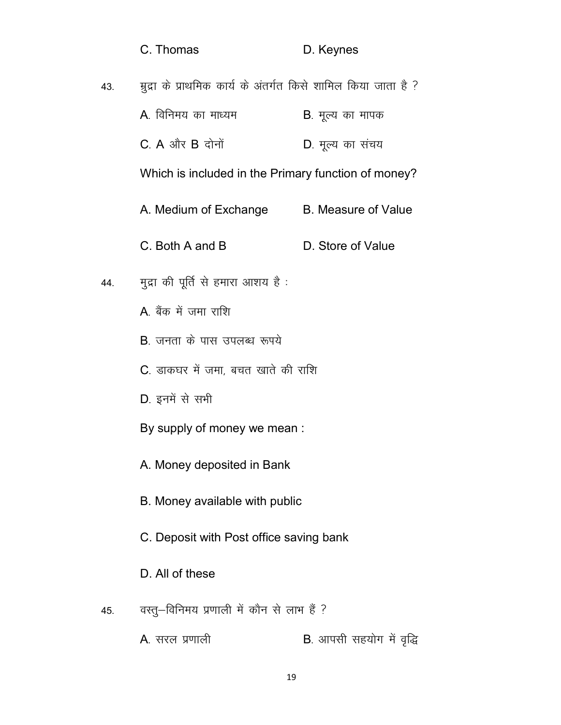|     | C. Thomas                                                     | D. Keynes                        |  |  |  |
|-----|---------------------------------------------------------------|----------------------------------|--|--|--|
| 43. | मुद्रा के प्राथमिक कार्य के अंतर्गत किसे शामिल किया जाता है ? |                                  |  |  |  |
|     | A. विनिमय का माध्यम                                           | <b>B</b> . मूल्य का मापक         |  |  |  |
|     | $C. A$ और $B$ दोनों                                           | D. मूल्य का संचय                 |  |  |  |
|     | Which is included in the Primary function of money?           |                                  |  |  |  |
|     | A. Medium of Exchange B. Measure of Value                     |                                  |  |  |  |
|     | C. Both A and B                                               | D. Store of Value                |  |  |  |
| 44. | मुद्रा की पूर्ति से हमारा आशय है :                            |                                  |  |  |  |
|     | A बैंक में जमा राशि                                           |                                  |  |  |  |
|     | <b>B</b> . जनता के पास उपलब्ध रूपये                           |                                  |  |  |  |
|     | C. डाकघर में जमा, बचत खाते की राशि                            |                                  |  |  |  |
|     | D. इनमें से सभी                                               |                                  |  |  |  |
|     | By supply of money we mean :                                  |                                  |  |  |  |
|     | A. Money deposited in Bank                                    |                                  |  |  |  |
|     | B. Money available with public                                |                                  |  |  |  |
|     | C. Deposit with Post office saving bank                       |                                  |  |  |  |
|     | D. All of these                                               |                                  |  |  |  |
| 45. | वस्तु—विनिमय प्रणाली में कौन से लाभ हैं ?                     |                                  |  |  |  |
|     | A. सरल प्रणाली                                                | <b>B</b> . आपसी सहयोग में वृद्धि |  |  |  |
|     |                                                               |                                  |  |  |  |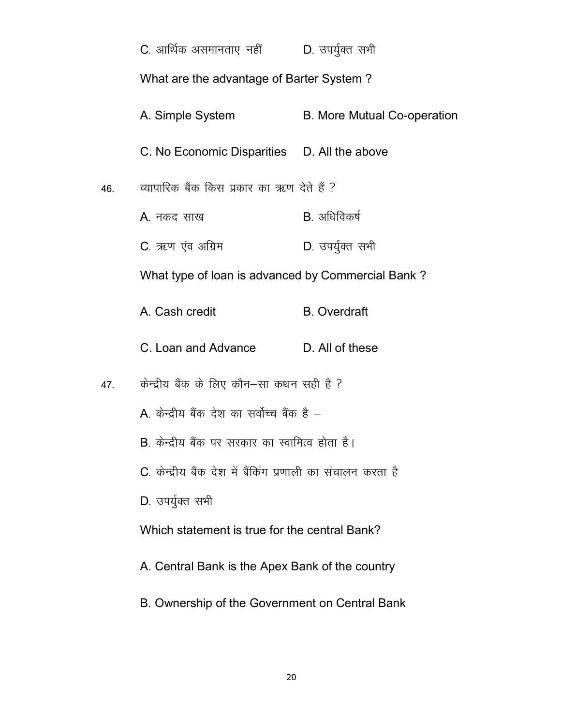|     | C. आर्थिक असमानताए नहीं             D. उपर्युक्त सभी                                              |                                    |  |  |  |
|-----|---------------------------------------------------------------------------------------------------|------------------------------------|--|--|--|
|     | What are the advantage of Barter System?                                                          |                                    |  |  |  |
|     | A. Simple System                                                                                  | <b>B. More Mutual Co-operation</b> |  |  |  |
|     | C. No Economic Disparities D. All the above                                                       |                                    |  |  |  |
| 46. | व्यापारिक बैंक किस प्रकार का ऋण देते हैं ?                                                        |                                    |  |  |  |
|     | A. नकद साख                                                                                        | B. अधिविकर्ष                       |  |  |  |
|     | C. ऋण एंव अग्रिम                                                                                  | D. उपर्युक्त सभी                   |  |  |  |
|     | What type of loan is advanced by Commercial Bank?                                                 |                                    |  |  |  |
|     | A. Cash credit                                                                                    | <b>B.</b> Overdraft                |  |  |  |
|     | C. Loan and Advance D. All of these                                                               |                                    |  |  |  |
| 47. | केन्द्रीय बैंक के लिए कौन–सा कथन सही है ?                                                         |                                    |  |  |  |
|     | A. केन्द्रीय बैंक देश का सर्वोच्च बैंक है –                                                       |                                    |  |  |  |
|     | B. केन्द्रीय बैंक पर सरकार का स्वामित्व होता है।                                                  |                                    |  |  |  |
|     | C. केन्द्रीय बैंक देश में बैंकिंग प्रणाली का संचालन करता है                                       |                                    |  |  |  |
|     | D. उपर्यूक्त सभी                                                                                  |                                    |  |  |  |
|     | Which statement is true for the central Bank?                                                     |                                    |  |  |  |
|     | A. Central Bank is the Apex Bank of the country<br>B. Ownership of the Government on Central Bank |                                    |  |  |  |
|     |                                                                                                   |                                    |  |  |  |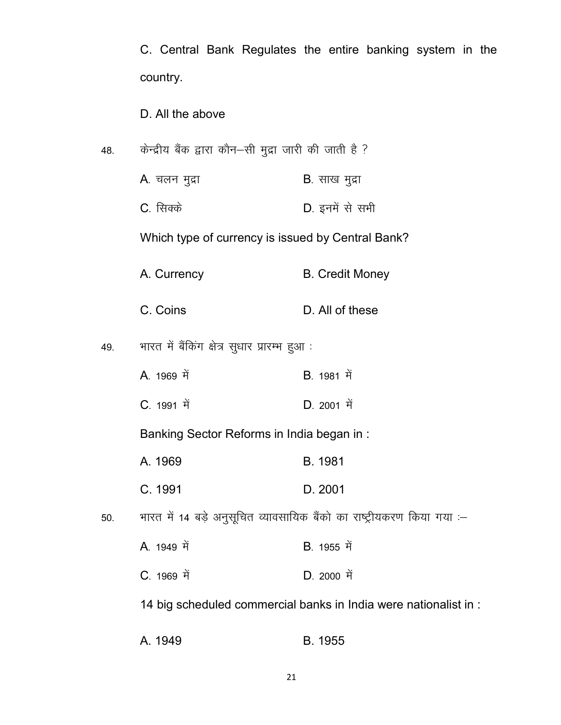C. Central Bank Regulates the entire banking system in the country.

D. All the above

- 48. केन्द्रीय बैंक द्वारा कौन–सी मुद्रा जारी की जाती है ?
	- $A$ . चलन मुद्रा  $B$ . साख मुद्रा
	- C. सिक्के<br>
	D. इनमें से सभी

Which type of currency is issued by Central Bank?

- A. Currency B. Credit Money
- C. Coins D. All of these

49. भारत में बैंकिंग क्षेत्र सुधार प्रारम्भ हुआ :

- A. 1969 ਸੇਂ B. 1981 ਸੇਂ
- **C**. 1991 में **D. 2001 में**

Banking Sector Reforms in India began in :

- A. 1969 B. 1981
- C. 1991 D. 2001

50. भारत में 14 बड़े अनुसूचित व्यावसायिक बैंको का राष्ट्रीयकरण किया गया :-

- A. 1949 ਸੇਂ B. 1955 ਸੇਂ
- C. 1969 ਸੇਂ D. 2000 ਸੇਂ

14 big scheduled commercial banks in India were nationalist in :

A. 1949 B. 1955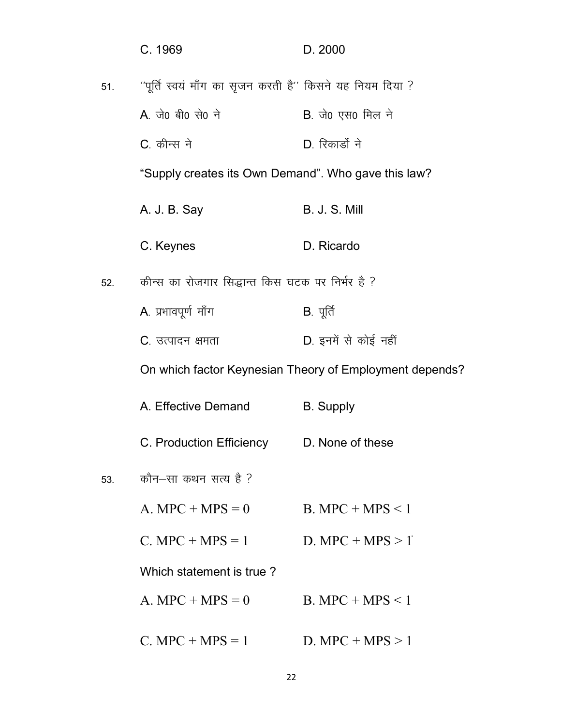|     | C. 1969                                                  | D. 2000                                                 |
|-----|----------------------------------------------------------|---------------------------------------------------------|
| 51. | "पूर्ति स्वयं माँग का सृजन करती है" किसने यह नियम दिया ? |                                                         |
|     | A. जे0 बी0 से0 ने                                        | B. जे0 एस0 मिल ने                                       |
|     | C. कीन्स ने                                              | D. रिकार्डो ने                                          |
|     | "Supply creates its Own Demand". Who gave this law?      |                                                         |
|     | A. J. B. Say                                             | <b>B. J. S. Mill</b>                                    |
|     | C. Keynes                                                | D. Ricardo                                              |
| 52. | कीन्स का रोजगार सिद्धान्त किस घटक पर निर्भर है ?         |                                                         |
|     | A. प्रभावपूर्ण माँग                                      | $B.$ पूर्ति                                             |
|     | C. उत्पादन क्षमता                                        | D. इनमें से कोई नहीं                                    |
|     |                                                          | On which factor Keynesian Theory of Employment depends? |
|     | A. Effective Demand                                      | <b>B.</b> Supply                                        |
|     | C. Production Efficiency D. None of these                |                                                         |
| 53. | कौन–सा कथन सत्य है ?                                     |                                                         |
|     | $A. MPC + MPS = 0$                                       | $B. MPC + MPS < 1$                                      |
|     | $C. MPC + MPS = 1$ D. MPC + MPS > 1                      |                                                         |
|     | Which statement is true?                                 |                                                         |
|     | $A. MPC + MPS = 0$                                       | $B. MPC + MPS < 1$                                      |
|     | $C.$ MPC + MPS = 1                                       | D. MPC + MPS $> 1$                                      |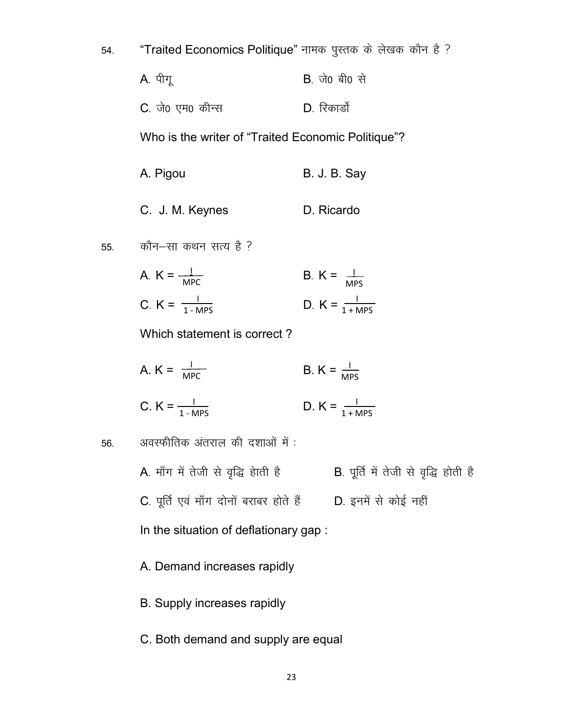| 54. |  |  | "Traited Economics Politique" नामक पुस्तक के लेखक कौन है ? |  |  |  |  |  |  |  |
|-----|--|--|------------------------------------------------------------|--|--|--|--|--|--|--|
|-----|--|--|------------------------------------------------------------|--|--|--|--|--|--|--|

| A. पीगू          | <b>B</b> . जे0 बी0 से |
|------------------|-----------------------|
| C. जे0 एम0 कीन्स | D. रिकार्डो           |

Who is the writer of "Traited Economic Politique"?

- A. Pigou B. J. B. Say
- C. J. M. Keynes D. Ricardo
- कौन-सा कथन सत्य है ? 55.
	- A.  $K = \frac{1}{MPC}$ B.  $K = \frac{1}{MPS}$ C.  $K = \frac{1}{1 - MPS}$ D.  $K = \frac{1}{1 + MPS}$

Which statement is correct?

A.  $K = \frac{1}{MPC}$ B.  $K = \frac{1}{MPS}$ 

C. 
$$
K = \frac{1}{1 - MPS}
$$
 D.  $K = \frac{1}{1 + MPS}$ 

अवस्फीतिक अंतराल की दशाओं में: 56.

- C. पूर्ति एवं माँग दोनों बराबर होते हैं D. इनमें से कोई नहीं
- In the situation of deflationary gap :
- A. Demand increases rapidly
- B. Supply increases rapidly
- C. Both demand and supply are equal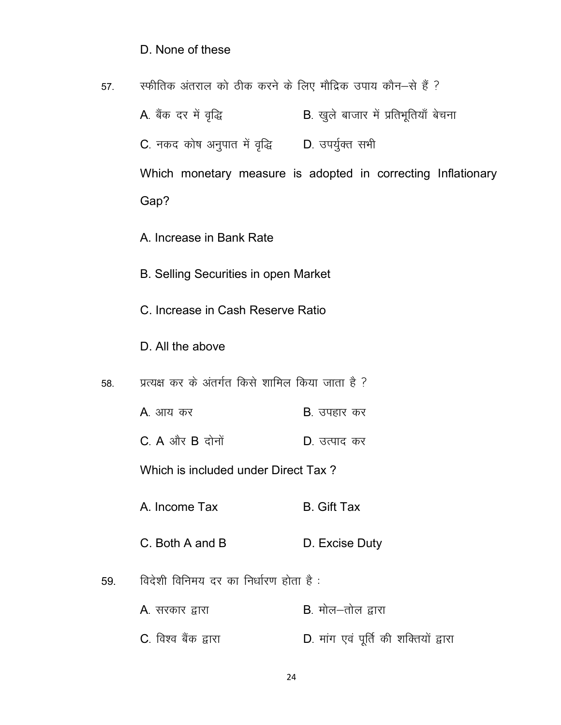#### D. None of these

स्फीतिक अंतराल को ठीक करने के लिए मौद्रिक उपाय कौन-से हैं ? 57.

- A. बैंक दर में वृद्धि B. खुले बाजार में प्रतिभूतियाँ बेचना C. नकद कोष अनुपात में वृद्धि D. उपर्युक्त सभी Which monetary measure is adopted in correcting Inflationary Gap?
	- A. Increase in Bank Rate
	- B. Selling Securities in open Market
	- C. Increase in Cash Reserve Ratio
	- D. All the above
- प्रत्यक्ष कर के अंतर्गत किसे शामिल किया जाता है ? 58.
	- A. आय कर **B**. उपहार कर
	- $C. A$  और  $B$  दोनों D. उत्पाद कर

Which is included under Direct Tax?

- A. Income Tax **B.** Gift Tax
- C. Both A and B D. Excise Duty
- विदेशी विनिमय दर का निर्धारण होता है: 59.
	- $B$ , मोल $-$ तोल द्वारा A. सरकार द्वारा
	- C. विश्व बैंक द्वारा D. मांग एवं पूर्ति की शक्तियों द्वारा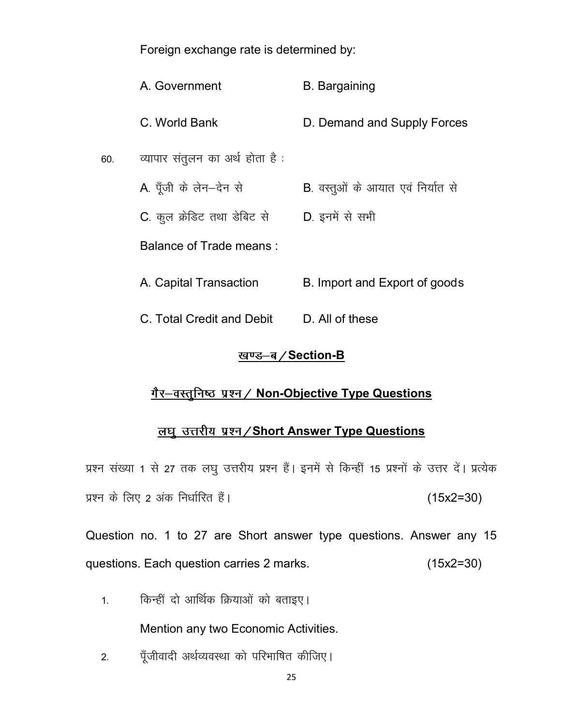Foreign exchange rate is determined by:

|     | A. Government                   | <b>B.</b> Bargaining                      |
|-----|---------------------------------|-------------------------------------------|
|     | C. World Bank                   | D. Demand and Supply Forces               |
| 60. | व्यापार संतुलन का अर्थ होता है: |                                           |
|     | A. पूँजी के लेन-देन से          | <b>B</b> . वस्तूओं के आयात एवं निर्यात से |
|     | C. कूल क्रेडिट तथा डेबिट से     | D. इनमें से सभी                           |
|     | <b>Balance of Trade means:</b>  |                                           |
|     | A. Capital Transaction          | B. Import and Export of goods             |
|     | C. Total Credit and Debit       | D. All of these                           |

### <u>खण्ड-ब/Section-B</u>

# गैर-वस्तुनिष्ठ प्रश्न / Non-Objective Type Questions

# लघु उत्तरीय प्रश्न/Short Answer Type Questions

प्रश्न संख्या 1 से 27 तक लघू उत्तरीय प्रश्न हैं। इनमें से किन्हीं 15 प्रश्नों के उत्तर दें। प्रत्येक प्रश्न के लिए 2 अंक निर्धारित हैं।  $(15x2=30)$ 

Question no. 1 to 27 are Short answer type questions. Answer any 15 questions. Each question carries 2 marks. (15x2=30)

1. किन्हीं दो आर्थिक क्रियाओं को बताइए।

Mention any two Economic Activities.

2. पूँजीवादी अर्थव्यवस्था को परिभाषित कीजिए।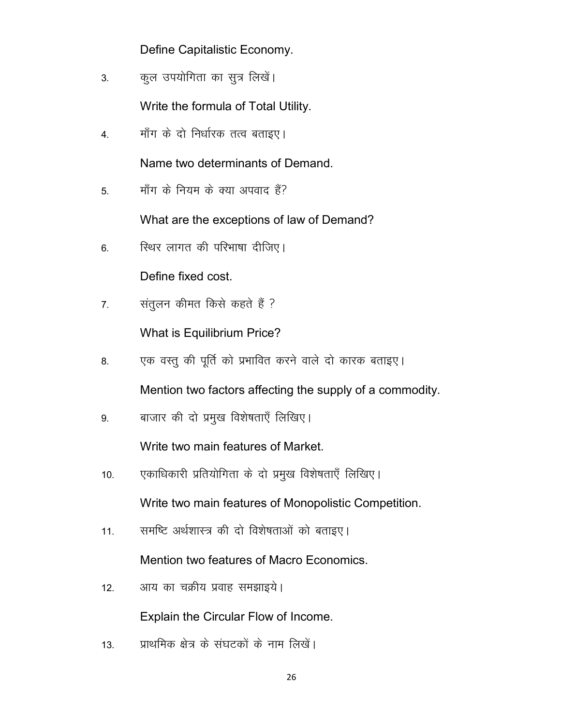Define Capitalistic Economy.

3. कुल उपयोगिता का सुत्र लिखें।

Write the formula of Total Utility.

4. मॉंग के दो निर्धारक तत्व बताइए।

Name two determinants of Demand.

5. माँग के नियम के क्या अपवाद हैं?

What are the exceptions of law of Demand?

6. स्थिर लागत की परिभाषा दीजिए।

Define fixed cost.

7. संतुलन कीमत किसे कहते हैं ?

What is Equilibrium Price?

8. पुक वस्तु की पूर्ति को प्रभावित करने वाले दो कारक बताइए।

Mention two factors affecting the supply of a commodity.

9. बाजार की दो प्रमुख विशेषताएँ लिखिए।

Write two main features of Market.

10. पकाधिकारी प्रतियोगिता के दो प्रमुख विशेषताएँ लिखिए।

Write two main features of Monopolistic Competition.

11. समष्टि अर्थशास्त्र की दो विशेषताओं को बताइए।

Mention two features of Macro Economics.

12. आय का चक्रीय प्रवाह समझाइये।

Explain the Circular Flow of Income.

13. प्राथमिक क्षेत्र के संघटकों के नाम लिखें।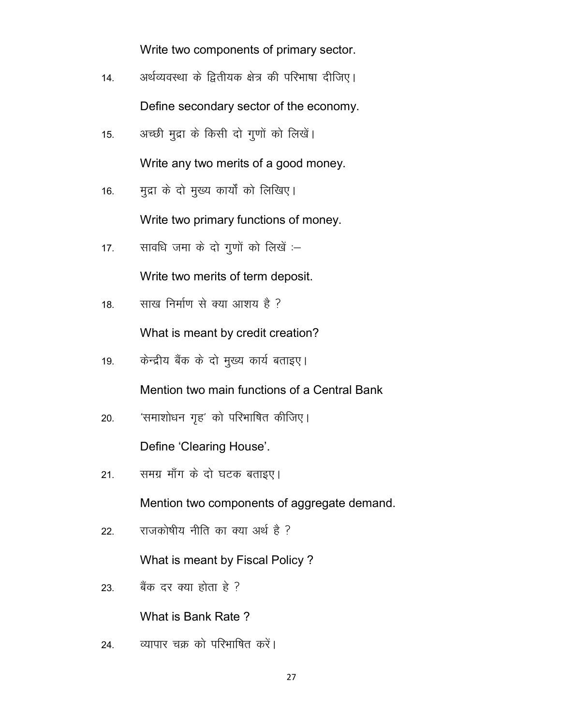Write two components of primary sector.

- 14. अर्थव्यवस्था के द्वितीयक क्षेत्र की परिभाषा दीजिए। Define secondary sector of the economy.
- 15. अच्छी मुद्रा के किसी दो गुणों को लिखें।

Write any two merits of a good money.

- 16. मुद्रा के दो मुख्य कार्यों को लिखिए। Write two primary functions of money.
- 17. सावधि जमा के दो गूणों को लिखें :–

Write two merits of term deposit.

18. साख निर्माण से क्या आशय है ?

What is meant by credit creation?

19. केन्द्रीय बैंक के दो मुख्य कार्य बताइए।

Mention two main functions of a Central Bank

20. 'समाशोधन गृह' को परिभाषित कीजिए।

Define 'Clearing House'.

21. समग्र माँग के दो घटक बताइए।

Mention two components of aggregate demand.

22. राजकोषीय नीति का क्या अर्थ है ?

What is meant by Fiscal Policy ?

23. बैंक दर क्या होता हे ?

What is Bank Rate ?

24. व्यापार चक्र को परिभाषित करें।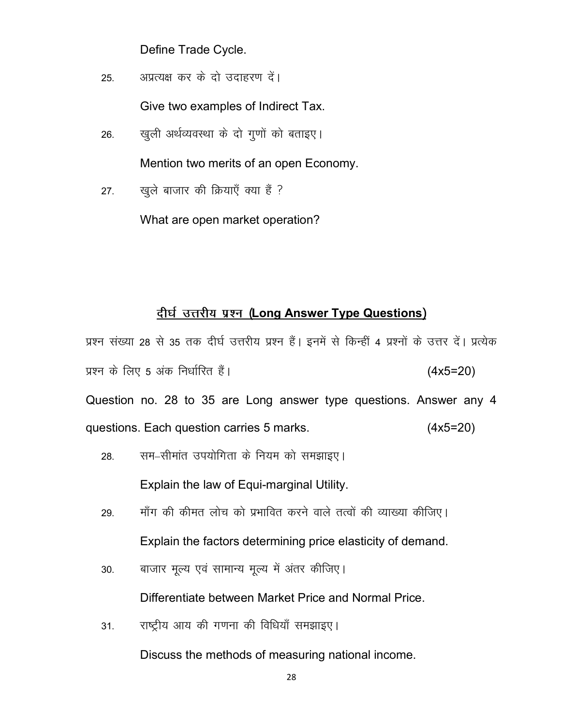Define Trade Cycle.

अप्रत्यक्ष कर के दो उदाहरण दें। 25.

Give two examples of Indirect Tax.

खुली अर्थव्यवस्था के दो गूणों को बताइए। 26.

Mention two merits of an open Economy.

खुले बाजार की क्रियाएँ क्या हैं ?  $27.$ 

What are open market operation?

### दीर्घ उत्तरीय प्रश्न (Long Answer Type Questions)

प्रश्न संख्या 28 से 35 तक दीर्घ उत्तरीय प्रश्न हैं। इनमें से किन्हीं 4 प्रश्नों के उत्तर दें। प्रत्येक प्रश्न के लिए 5 अंक निर्धारित हैं।  $(4x5=20)$ Question no. 28 to 35 are Long answer type questions. Answer any 4 questions. Each question carries 5 marks.  $(4x5=20)$ 

- सम–सीमांत उपयोगिता के नियम को समझाइए। 28. Explain the law of Equi-marginal Utility.
- माँग की कीमत लोच को प्रभावित करने वाले तत्वों की व्याख्या कीजिए। 29. Explain the factors determining price elasticity of demand.
- बाजार मूल्य एवं सामान्य मूल्य में अंतर कीजिए। 30.

Differentiate between Market Price and Normal Price.

राष्ट्रीय आय की गणना की विधियाँ समझाइए।  $31<sup>2</sup>$ 

Discuss the methods of measuring national income.